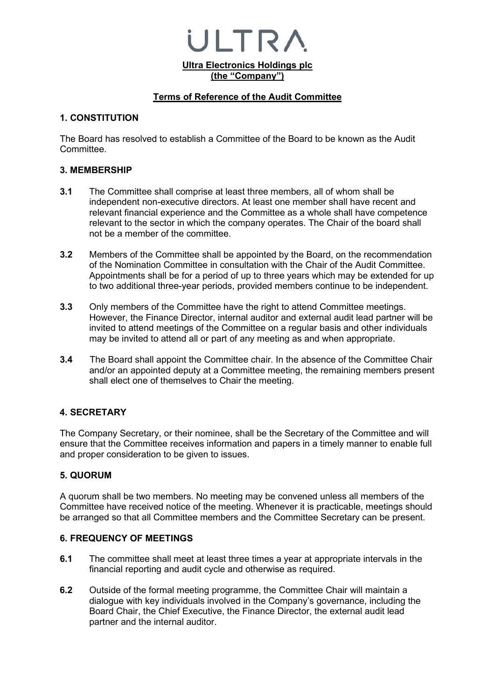**Ultra Electronics Holdings plc (the "Company")**

ULTR/

#### **Terms of Reference of the Audit Committee**

#### **1. CONSTITUTION**

The Board has resolved to establish a Committee of the Board to be known as the Audit Committee.

#### **3. MEMBERSHIP**

- **3.1** The Committee shall comprise at least three members, all of whom shall be independent non-executive directors. At least one member shall have recent and relevant financial experience and the Committee as a whole shall have competence relevant to the sector in which the company operates. The Chair of the board shall not be a member of the committee.
- **3.2** Members of the Committee shall be appointed by the Board, on the recommendation of the Nomination Committee in consultation with the Chair of the Audit Committee. Appointments shall be for a period of up to three years which may be extended for up to two additional three-year periods, provided members continue to be independent.
- **3.3** Only members of the Committee have the right to attend Committee meetings. However, the Finance Director, internal auditor and external audit lead partner will be invited to attend meetings of the Committee on a regular basis and other individuals may be invited to attend all or part of any meeting as and when appropriate.
- **3.4** The Board shall appoint the Committee chair. In the absence of the Committee Chair and/or an appointed deputy at a Committee meeting, the remaining members present shall elect one of themselves to Chair the meeting.

#### **4. SECRETARY**

The Company Secretary, or their nominee, shall be the Secretary of the Committee and will ensure that the Committee receives information and papers in a timely manner to enable full and proper consideration to be given to issues.

#### **5. QUORUM**

A quorum shall be two members. No meeting may be convened unless all members of the Committee have received notice of the meeting. Whenever it is practicable, meetings should be arranged so that all Committee members and the Committee Secretary can be present.

#### **6. FREQUENCY OF MEETINGS**

- **6.1** The committee shall meet at least three times a year at appropriate intervals in the financial reporting and audit cycle and otherwise as required.
- **6.2** Outside of the formal meeting programme, the Committee Chair will maintain a dialogue with key individuals involved in the Company's governance, including the Board Chair, the Chief Executive, the Finance Director, the external audit lead partner and the internal auditor.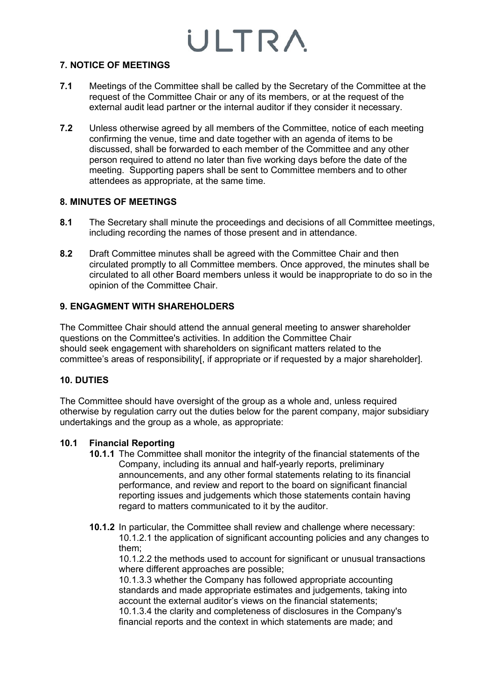#### **7. NOTICE OF MEETINGS**

- **7.1** Meetings of the Committee shall be called by the Secretary of the Committee at the request of the Committee Chair or any of its members, or at the request of the external audit lead partner or the internal auditor if they consider it necessary.
- **7.2** Unless otherwise agreed by all members of the Committee, notice of each meeting confirming the venue, time and date together with an agenda of items to be discussed, shall be forwarded to each member of the Committee and any other person required to attend no later than five working days before the date of the meeting. Supporting papers shall be sent to Committee members and to other attendees as appropriate, at the same time.

#### **8. MINUTES OF MEETINGS**

- **8.1** The Secretary shall minute the proceedings and decisions of all Committee meetings, including recording the names of those present and in attendance.
- **8.2** Draft Committee minutes shall be agreed with the Committee Chair and then circulated promptly to all Committee members. Once approved, the minutes shall be circulated to all other Board members unless it would be inappropriate to do so in the opinion of the Committee Chair.

### **9. ENGAGMENT WITH SHAREHOLDERS**

The Committee Chair should attend the annual general meeting to answer shareholder questions on the Committee's activities. In addition the Committee Chair should seek engagement with shareholders on significant matters related to the committee's areas of responsibility[, if appropriate or if requested by a major shareholder].

### **10. DUTIES**

The Committee should have oversight of the group as a whole and, unless required otherwise by regulation carry out the duties below for the parent company, major subsidiary undertakings and the group as a whole, as appropriate:

#### **10.1 Financial Reporting**

- **10.1.1** The Committee shall monitor the integrity of the financial statements of the Company, including its annual and half-yearly reports, preliminary announcements, and any other formal statements relating to its financial performance, and review and report to the board on significant financial reporting issues and judgements which those statements contain having regard to matters communicated to it by the auditor.
- **10.1.2** In particular, the Committee shall review and challenge where necessary: 10.1.2.1 the application of significant accounting policies and any changes to them;

10.1.2.2 the methods used to account for significant or unusual transactions where different approaches are possible;

10.1.3.3 whether the Company has followed appropriate accounting standards and made appropriate estimates and judgements, taking into account the external auditor's views on the financial statements;

10.1.3.4 the clarity and completeness of disclosures in the Company's financial reports and the context in which statements are made; and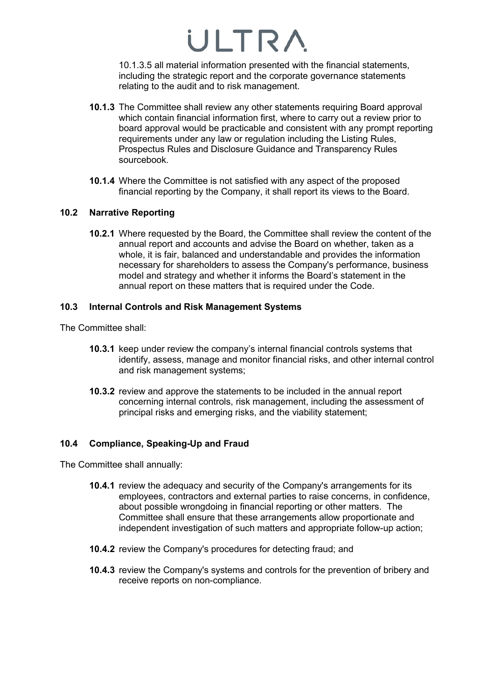10.1.3.5 all material information presented with the financial statements, including the strategic report and the corporate governance statements relating to the audit and to risk management.

- **10.1.3** The Committee shall review any other statements requiring Board approval which contain financial information first, where to carry out a review prior to board approval would be practicable and consistent with any prompt reporting requirements under any law or regulation including the Listing Rules, Prospectus Rules and Disclosure Guidance and Transparency Rules sourcebook.
- **10.1.4** Where the Committee is not satisfied with any aspect of the proposed financial reporting by the Company, it shall report its views to the Board.

### **10.2 Narrative Reporting**

**10.2.1** Where requested by the Board, the Committee shall review the content of the annual report and accounts and advise the Board on whether, taken as a whole, it is fair, balanced and understandable and provides the information necessary for shareholders to assess the Company's performance, business model and strategy and whether it informs the Board's statement in the annual report on these matters that is required under the Code.

#### **10.3 Internal Controls and Risk Management Systems**

The Committee shall:

- **10.3.1** keep under review the company's internal financial controls systems that identify, assess, manage and monitor financial risks, and other internal control and risk management systems;
- **10.3.2** review and approve the statements to be included in the annual report concerning internal controls, risk management, including the assessment of principal risks and emerging risks, and the viability statement;

### **10.4 Compliance, Speaking-Up and Fraud**

The Committee shall annually:

- **10.4.1** review the adequacy and security of the Company's arrangements for its employees, contractors and external parties to raise concerns, in confidence, about possible wrongdoing in financial reporting or other matters. The Committee shall ensure that these arrangements allow proportionate and independent investigation of such matters and appropriate follow-up action;
- **10.4.2** review the Company's procedures for detecting fraud; and
- **10.4.3** review the Company's systems and controls for the prevention of bribery and receive reports on non-compliance.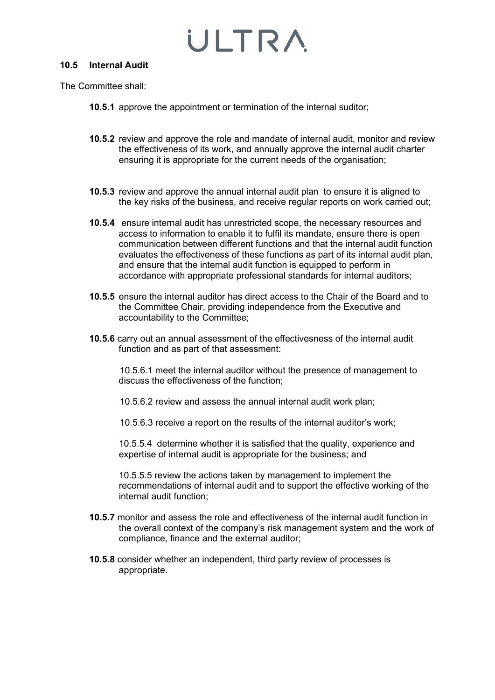#### **10.5 Internal Audit**

The Committee shall:

- **10.5.1** approve the appointment or termination of the internal suditor;
- **10.5.2** review and approve the role and mandate of internal audit, monitor and review the effectiveness of its work, and annually approve the internal audit charter ensuring it is appropriate for the current needs of the organisation;
- **10.5.3** review and approve the annual internal audit plan to ensure it is aligned to the key risks of the business, and receive regular reports on work carried out;
- **10.5.4** ensure internal audit has unrestricted scope, the necessary resources and access to information to enable it to fulfil its mandate, ensure there is open communication between different functions and that the internal audit function evaluates the effectiveness of these functions as part of its internal audit plan, and ensure that the internal audit function is equipped to perform in accordance with appropriate professional standards for internal auditors;
- **10.5.5** ensure the internal auditor has direct access to the Chair of the Board and to the Committee Chair, providing independence from the Executive and accountability to the Committee;
- **10.5.6** carry out an annual assessment of the effectivesness of the internal audit function and as part of that assessment:

10.5.6.1 meet the internal auditor without the presence of management to discuss the effectiveness of the function;

10.5.6.2 review and assess the annual internal audit work plan;

10.5.6.3 receive a report on the results of the internal auditor's work;

10.5.5.4 determine whether it is satisfied that the quality, experience and expertise of internal audit is appropriate for the business; and

10.5.5.5 review the actions taken by management to implement the recommendations of internal audit and to support the effective working of the internal audit function;

- **10.5.7** monitor and assess the role and effectiveness of the internal audit function in the overall context of the company's risk management system and the work of compliance, finance and the external auditor;
- **10.5.8** consider whether an independent, third party review of processes is appropriate.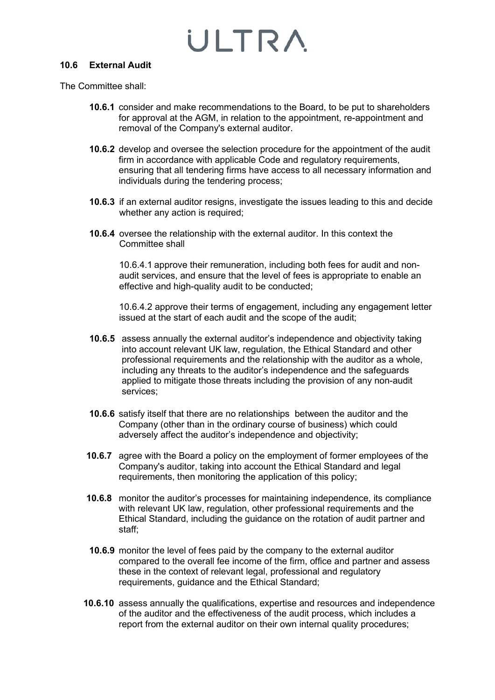#### **10.6 External Audit**

The Committee shall:

- **10.6.1** consider and make recommendations to the Board, to be put to shareholders for approval at the AGM, in relation to the appointment, re-appointment and removal of the Company's external auditor.
- **10.6.2** develop and oversee the selection procedure for the appointment of the audit firm in accordance with applicable Code and regulatory requirements, ensuring that all tendering firms have access to all necessary information and individuals during the tendering process;
- **10.6.3** if an external auditor resigns, investigate the issues leading to this and decide whether any action is required;
- **10.6.4** oversee the relationship with the external auditor. In this context the Committee shall

10.6.4.1 approve their remuneration, including both fees for audit and nonaudit services, and ensure that the level of fees is appropriate to enable an effective and high-quality audit to be conducted;

10.6.4.2 approve their terms of engagement, including any engagement letter issued at the start of each audit and the scope of the audit;

- **10.6.5** assess annually the external auditor's independence and objectivity taking into account relevant UK law, regulation, the Ethical Standard and other professional requirements and the relationship with the auditor as a whole, including any threats to the auditor's independence and the safeguards applied to mitigate those threats including the provision of any non-audit services;
- **10.6.6** satisfy itself that there are no relationships between the auditor and the Company (other than in the ordinary course of business) which could adversely affect the auditor's independence and objectivity;
- **10.6.7** agree with the Board a policy on the employment of former employees of the Company's auditor, taking into account the Ethical Standard and legal requirements, then monitoring the application of this policy;
- **10.6.8** monitor the auditor's processes for maintaining independence, its compliance with relevant UK law, regulation, other professional requirements and the Ethical Standard, including the guidance on the rotation of audit partner and staff;
- **10.6.9** monitor the level of fees paid by the company to the external auditor compared to the overall fee income of the firm, office and partner and assess these in the context of relevant legal, professional and regulatory requirements, guidance and the Ethical Standard;
- **10.6.10** assess annually the qualifications, expertise and resources and independence of the auditor and the effectiveness of the audit process, which includes a report from the external auditor on their own internal quality procedures;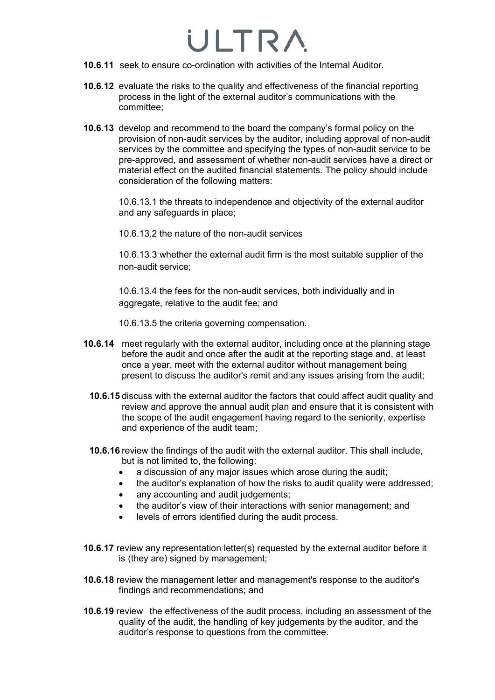- **10.6.11** seek to ensure co-ordination with activities of the Internal Auditor.
- **10.6.12** evaluate the risks to the quality and effectiveness of the financial reporting process in the light of the external auditor's communications with the committee;
- **10.6.13** develop and recommend to the board the company's formal policy on the provision of non-audit services by the auditor, including approval of non-audit services by the committee and specifying the types of non-audit service to be pre-approved, and assessment of whether non-audit services have a direct or material effect on the audited financial statements. The policy should include consideration of the following matters:

10.6.13.1 the threats to independence and objectivity of the external auditor and any safeguards in place;

10.6.13.2 the nature of the non-audit services

10.6.13.3 whether the external audit firm is the most suitable supplier of the non-audit service;

10.6.13.4 the fees for the non-audit services, both individually and in aggregate, relative to the audit fee; and

10.6.13.5 the criteria governing compensation.

- **10.6.14** meet regularly with the external auditor, including once at the planning stage before the audit and once after the audit at the reporting stage and, at least once a year, meet with the external auditor without management being present to discuss the auditor's remit and any issues arising from the audit;
	- **10.6.15** discuss with the external auditor the factors that could affect audit quality and review and approve the annual audit plan and ensure that it is consistent with the scope of the audit engagement having regard to the seniority, expertise and experience of the audit team;
	- **10.6.16** review the findings of the audit with the external auditor. This shall include, but is not limited to, the following:
		- a discussion of any major issues which arose during the audit;
		- the auditor's explanation of how the risks to audit quality were addressed;
		- any accounting and audit judgements;
		- the auditor's view of their interactions with senior management; and
		- levels of errors identified during the audit process.
- **10.6.17** review any representation letter(s) requested by the external auditor before it is (they are) signed by management;
- **10.6.18** review the management letter and management's response to the auditor's findings and recommendations; and
- **10.6.19** review the effectiveness of the audit process, including an assessment of the quality of the audit, the handling of key judgements by the auditor, and the auditor's response to questions from the committee.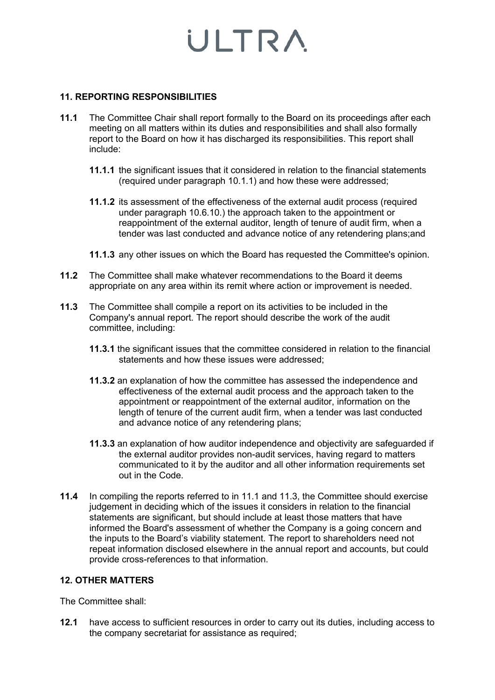#### **11. REPORTING RESPONSIBILITIES**

- **11.1** The Committee Chair shall report formally to the Board on its proceedings after each meeting on all matters within its duties and responsibilities and shall also formally report to the Board on how it has discharged its responsibilities. This report shall include:
	- **11.1.1** the significant issues that it considered in relation to the financial statements (required under paragraph 10.1.1) and how these were addressed;
	- **11.1.2** its assessment of the effectiveness of the external audit process (required under paragraph 10.6.10.) the approach taken to the appointment or reappointment of the external auditor, length of tenure of audit firm, when a tender was last conducted and advance notice of any retendering plans;and
	- **11.1.3** any other issues on which the Board has requested the Committee's opinion.
- **11.2** The Committee shall make whatever recommendations to the Board it deems appropriate on any area within its remit where action or improvement is needed.
- **11.3** The Committee shall compile a report on its activities to be included in the Company's annual report. The report should describe the work of the audit committee, including:
	- **11.3.1** the significant issues that the committee considered in relation to the financial statements and how these issues were addressed;
	- **11.3.2** an explanation of how the committee has assessed the independence and effectiveness of the external audit process and the approach taken to the appointment or reappointment of the external auditor, information on the length of tenure of the current audit firm, when a tender was last conducted and advance notice of any retendering plans;
	- **11.3.3** an explanation of how auditor independence and objectivity are safeguarded if the external auditor provides non-audit services, having regard to matters communicated to it by the auditor and all other information requirements set out in the Code.
- **11.4** In compiling the reports referred to in 11.1 and 11.3, the Committee should exercise judgement in deciding which of the issues it considers in relation to the financial statements are significant, but should include at least those matters that have informed the Board's assessment of whether the Company is a going concern and the inputs to the Board's viability statement. The report to shareholders need not repeat information disclosed elsewhere in the annual report and accounts, but could provide cross-references to that information.

#### **12. OTHER MATTERS**

The Committee shall:

**12.1** have access to sufficient resources in order to carry out its duties, including access to the company secretariat for assistance as required;